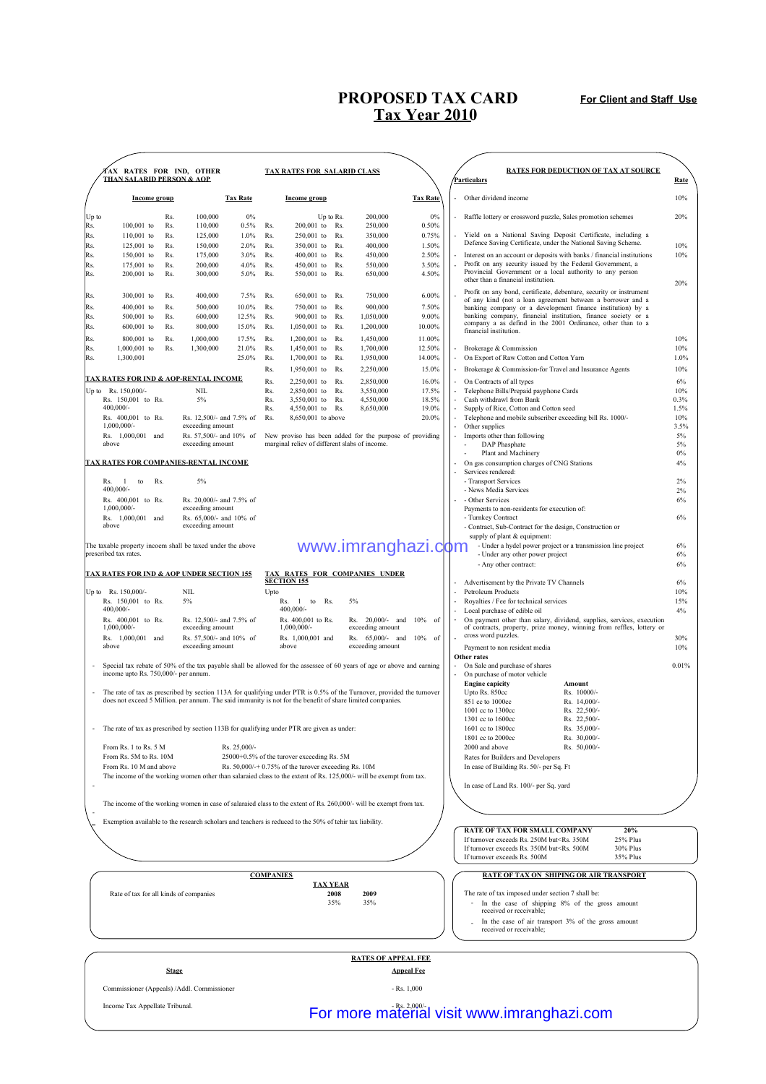## **PROPOSED TAX CARD Tax Year 2010**

**For Client and Staff Use**

|                                      | <b>fax rates for ind, other</b>                                                                                                               |              |                                             |                                                                                                                       |                                                                                                                        |                                                      |                 |                                                         |                                                                           |                                  | <b>RATES FOR DEDUCTION OF TAX AT SOURCE</b>                                                                                |             |
|--------------------------------------|-----------------------------------------------------------------------------------------------------------------------------------------------|--------------|---------------------------------------------|-----------------------------------------------------------------------------------------------------------------------|------------------------------------------------------------------------------------------------------------------------|------------------------------------------------------|-----------------|---------------------------------------------------------|---------------------------------------------------------------------------|----------------------------------|----------------------------------------------------------------------------------------------------------------------------|-------------|
| <b>THAN SALARID PERSON &amp; AOP</b> |                                                                                                                                               |              | <b>TAX RATES FOR SALARID CLASS</b>          |                                                                                                                       |                                                                                                                        |                                                      |                 | Particulars                                             |                                                                           | Rate                             |                                                                                                                            |             |
|                                      | Income group                                                                                                                                  |              |                                             | <b>Tax Rate</b>                                                                                                       |                                                                                                                        | Income group                                         |                 |                                                         | <b>Tax Rate</b>                                                           |                                  | Other dividend income                                                                                                      | 10%         |
| Up to                                |                                                                                                                                               | Rs.          | 100,000                                     | 0%                                                                                                                    |                                                                                                                        |                                                      | Up to Rs.       | 200,000                                                 | 0%                                                                        |                                  | Raffle lottery or crossword puzzle, Sales promotion schemes                                                                | 20%         |
| Rs.<br>Rs.                           | 100,001 to<br>110,001 to                                                                                                                      | Rs.<br>Rs.   | 110,000<br>125,000                          | 0.5%<br>1.0%                                                                                                          | Rs.<br>Rs.                                                                                                             | $200,001$ to<br>250,001 to                           | Rs.<br>Rs.      | 250,000<br>350,000                                      | 0.50%<br>0.75%                                                            |                                  | Yield on a National Saving Deposit Certificate, including a                                                                |             |
| Rs.                                  | 125,001 to                                                                                                                                    | Rs.          | 150,000                                     | 2.0%                                                                                                                  | Rs.                                                                                                                    | 350,001 to                                           | Rs.             | 400,000                                                 | 1.50%                                                                     |                                  | Defence Saving Certificate, under the National Saving Scheme.                                                              | 10%         |
| Rs.                                  | 150,001 to                                                                                                                                    | Rs.          | 175,000                                     | 3.0%                                                                                                                  | Rs.                                                                                                                    | 400,001 to                                           | Rs.             | 450,000                                                 | 2.50%                                                                     |                                  | Interest on an account or deposits with banks / financial institutions                                                     | 10%         |
| Rs.                                  | 175,001 to                                                                                                                                    | Rs.          | 200,000                                     | 4.0%                                                                                                                  | Rs.                                                                                                                    | 450,001 to                                           | Rs.             | 550,000                                                 | 3.50%                                                                     |                                  | Profit on any security issued by the Federal Government, a<br>Provincial Government or a local authority to any person     |             |
| Rs.                                  | 200,001 to                                                                                                                                    | Rs.          | 300,000                                     | 5.0%                                                                                                                  | Rs.                                                                                                                    | 550,001 to                                           | Rs.             | 650,000                                                 | 4.50%                                                                     |                                  | other than a financial institution.                                                                                        | 20%         |
| Rs.                                  | 300,001 to                                                                                                                                    | Rs.          | 400,000                                     | 7.5%                                                                                                                  | Rs.                                                                                                                    | $650,001$ to                                         | Rs.             | 750,000                                                 | 6.00%                                                                     |                                  | Profit on any bond, certificate, debenture, security or instrument                                                         |             |
| Rs.                                  | 400,001 to                                                                                                                                    | Rs.          | 500,000                                     | 10.0%                                                                                                                 | Rs.                                                                                                                    | 750,001 to                                           | Rs.             | 900,000                                                 | 7.50%                                                                     |                                  | of any kind (not a loan agreement between a borrower and a<br>banking company or a development finance institution) by a   |             |
| Rs.                                  | 500,001 to                                                                                                                                    | Rs.          | 600,000                                     | 12.5%                                                                                                                 | Rs.                                                                                                                    | 900,001 to                                           | Rs.             | 1,050,000                                               | 9.00%                                                                     |                                  | banking company, financial institution, finance society or a<br>company a as defind in the 2001 Ordinance, other than to a |             |
| Rs.                                  | 600,001 to                                                                                                                                    | Rs.          | 800,000                                     | 15.0%                                                                                                                 | Rs.                                                                                                                    | $1,050,001$ to                                       | Rs.             | 1,200,000                                               | 10.00%                                                                    |                                  | financial institution.                                                                                                     |             |
| Rs.<br>Rs.                           | 800,001 to<br>$1,000,001$ to                                                                                                                  | Rs.<br>Rs.   | 1,000,000<br>1,300,000                      | 17.5%<br>21.0%                                                                                                        | Rs.<br>Rs.                                                                                                             | $1,200,001$ to<br>1,450,001 to                       | Rs.<br>Rs.      | 1,450,000<br>1,700,000                                  | 11.00%<br>12.50%                                                          |                                  | Brokerage & Commission                                                                                                     | 10%<br>10%  |
| Rs.                                  | 1,300,001                                                                                                                                     |              |                                             | 25.0%                                                                                                                 | Rs.                                                                                                                    | 1,700,001 to                                         | Rs.             | 1,950,000                                               | 14.00%                                                                    |                                  | On Export of Raw Cotton and Cotton Yarn                                                                                    | 1.0%        |
|                                      |                                                                                                                                               |              |                                             |                                                                                                                       | Rs.                                                                                                                    | 1,950,001 to                                         | Rs.             | 2,250,000                                               | 15.0%                                                                     |                                  | Brokerage & Commission-for Travel and Insurance Agents                                                                     | 10%         |
|                                      | <b>TAX RATES FOR IND &amp; AOP-RENTAL INCOME</b>                                                                                              |              |                                             |                                                                                                                       | Rs.                                                                                                                    | 2,250,001 to                                         | Rs.             | 2,850,000                                               | 16.0%                                                                     |                                  | On Contracts of all types                                                                                                  | 6%          |
|                                      | Up to Rs. 150,000/-                                                                                                                           |              | <b>NIL</b><br>5%                            |                                                                                                                       | Rs.<br>Rs.                                                                                                             | 2.850,001 to<br>3,550,001 to Rs.                     | Rs.             | 3,550,000<br>4,550,000                                  | 17.5%<br>18.5%                                                            |                                  | Telephone Bills/Prepaid payphone Cards<br>Cash withdrawl from Bank                                                         | 10%<br>0.3% |
|                                      | Rs. 150,001 to Rs.<br>400,000/-                                                                                                               |              |                                             |                                                                                                                       | Rs.                                                                                                                    | 4,550,001 to Rs.                                     |                 | 8,650,000                                               | 19.0%                                                                     |                                  | Supply of Rice, Cotton and Cotton seed                                                                                     | 1.5%        |
|                                      | Rs. 400,001 to Rs.                                                                                                                            |              | Rs. 12,500/- and 7.5% of                    |                                                                                                                       | Rs.                                                                                                                    | 8,650,001 to above                                   |                 |                                                         | 20.0%                                                                     |                                  | Telephone and mobile subscriber exceeding bill Rs. 1000/-                                                                  | 10%         |
|                                      | $1,000,000/$ -<br>Rs. 1,000,001 and                                                                                                           |              | exceeding amount<br>Rs. 57,500/- and 10% of |                                                                                                                       |                                                                                                                        |                                                      |                 | New proviso has been added for the purpose of providing |                                                                           |                                  | Other supplies<br>Imports other than following                                                                             | 3.5%<br>5%  |
|                                      | above                                                                                                                                         |              | exceeding amount                            |                                                                                                                       |                                                                                                                        | marginal reliev of different slabs of income.        |                 |                                                         |                                                                           |                                  | DAP Phasphate                                                                                                              | 5%          |
|                                      | TAX RATES FOR COMPANIES-RENTAL INCOME                                                                                                         |              |                                             |                                                                                                                       |                                                                                                                        |                                                      |                 |                                                         |                                                                           |                                  | Plant and Machinery                                                                                                        | $0\%$       |
|                                      |                                                                                                                                               |              |                                             |                                                                                                                       |                                                                                                                        |                                                      |                 |                                                         |                                                                           |                                  | On gas consumption charges of CNG Stations<br>Services rendered:                                                           | 4%          |
|                                      | Rs.<br>$\blacksquare$<br>to<br>Rs.                                                                                                            |              | 5%                                          |                                                                                                                       |                                                                                                                        |                                                      |                 |                                                         |                                                                           |                                  | - Transport Services                                                                                                       | 2%          |
|                                      | $400,000/$ -<br>Rs. 400,001 to Rs.                                                                                                            |              | Rs. 20,000/- and 7.5% of                    |                                                                                                                       |                                                                                                                        |                                                      |                 |                                                         |                                                                           |                                  | - News Media Services<br>- Other Services                                                                                  | 2%<br>6%    |
|                                      | $1,000,000/$ -                                                                                                                                |              | exceeding amount                            |                                                                                                                       |                                                                                                                        |                                                      |                 |                                                         |                                                                           |                                  | Payments to non-residents for execution of:                                                                                |             |
|                                      | Rs. 1,000,001 and                                                                                                                             |              | Rs. 65,000/- and 10% of                     |                                                                                                                       |                                                                                                                        |                                                      |                 |                                                         |                                                                           |                                  | - Turnkey Contract                                                                                                         | 6%          |
|                                      | above                                                                                                                                         |              | exceeding amount                            |                                                                                                                       |                                                                                                                        |                                                      |                 |                                                         |                                                                           |                                  | - Contract, Sub-Contract for the design, Construction or<br>supply of plant & equipment:                                   |             |
|                                      | The taxable property incoem shall be taxed under the above                                                                                    |              |                                             |                                                                                                                       |                                                                                                                        |                                                      |                 | www.imranghazi.com                                      |                                                                           |                                  | - Under a hydel power project or a transmission line project                                                               | 6%          |
|                                      | prescribed tax rates.                                                                                                                         |              |                                             |                                                                                                                       |                                                                                                                        |                                                      |                 |                                                         |                                                                           |                                  | - Under any other power project                                                                                            | 6%          |
|                                      | <b>TAX RATES FOR IND &amp; AOP UNDER SECTION 155</b>                                                                                          |              |                                             |                                                                                                                       |                                                                                                                        |                                                      |                 | TAX RATES FOR COMPANIES UNDER                           |                                                                           |                                  | - Any other contract:                                                                                                      | 6%          |
|                                      |                                                                                                                                               |              |                                             |                                                                                                                       |                                                                                                                        | <b>SECTION 155</b>                                   |                 |                                                         |                                                                           |                                  | Advertisement by the Private TV Channels                                                                                   | 6%          |
|                                      | Up to Rs. 150,000/-<br>Rs. 150,001 to Rs.                                                                                                     |              | NIL.<br>5%                                  |                                                                                                                       | Upto                                                                                                                   | Rs. 1 to Rs.                                         |                 | 5%                                                      |                                                                           |                                  | Petroleum Products<br>Royalties / Fee for technical services                                                               | 10%<br>15%  |
|                                      | 400,000/-                                                                                                                                     |              |                                             |                                                                                                                       |                                                                                                                        | 400,000/-                                            |                 |                                                         |                                                                           |                                  | Local purchase of edible oil                                                                                               | 4%          |
|                                      | Rs. 400,001 to Rs.                                                                                                                            |              | Rs. 12,500/- and 7.5% of                    |                                                                                                                       |                                                                                                                        | Rs. 400,001 to Rs.                                   |                 | Rs. 20,000/- and 10%                                    | of                                                                        |                                  | On payment other than salary, dividend, supplies, services, execution                                                      |             |
|                                      | $1,000,000/$ -<br>Rs. 1,000,001 and                                                                                                           |              | exceeding amount<br>Rs. 57,500/- and 10% of |                                                                                                                       |                                                                                                                        | $1,000,000/$ -<br>Rs. 1,000,001 and                  |                 | exceeding amount<br>Rs. 65,000/- and 10% of             |                                                                           |                                  | of contracts, property, prize money, winning from reffles, lottery or<br>cross word puzzles.                               | 30%         |
|                                      | above                                                                                                                                         |              | exceeding amount                            |                                                                                                                       | above                                                                                                                  |                                                      |                 | exceeding amount                                        |                                                                           |                                  | Payment to non resident media                                                                                              | 10%         |
|                                      |                                                                                                                                               |              |                                             |                                                                                                                       |                                                                                                                        |                                                      |                 |                                                         | Other rates<br>On Sale and purchase of shares<br>$\overline{\phantom{a}}$ | 0.01%                            |                                                                                                                            |             |
|                                      | income upto Rs. 750,000/- per annum.                                                                                                          |              |                                             |                                                                                                                       | Special tax rebate of 50% of the tax payable shall be allowed for the assessee of 60 years of age or above and earning |                                                      |                 |                                                         |                                                                           |                                  | On purchase of motor vehicle                                                                                               |             |
|                                      |                                                                                                                                               |              |                                             | The rate of tax as prescribed by section 113A for qualifying under PTR is 0.5% of the Turnover, provided the turnover |                                                                                                                        |                                                      |                 |                                                         |                                                                           | <b>Engine capicity</b><br>Amount |                                                                                                                            |             |
|                                      | does not exceed 5 Million, per annum. The said immunity is not for the benefit of share limited companies.                                    |              |                                             |                                                                                                                       |                                                                                                                        |                                                      |                 |                                                         |                                                                           |                                  | Upto Rs. 850cc<br>Rs. 10000/-<br>851 cc to 1000cc<br>Rs. 14,000/-                                                          |             |
|                                      |                                                                                                                                               |              |                                             |                                                                                                                       |                                                                                                                        |                                                      |                 |                                                         |                                                                           |                                  | 1001 cc to 1300cc<br>Rs. 22,500/-                                                                                          |             |
|                                      |                                                                                                                                               |              |                                             |                                                                                                                       |                                                                                                                        |                                                      |                 |                                                         |                                                                           |                                  | 1301 cc to 1600cc<br>Rs. 22,500/-<br>Rs. 35,000/-                                                                          |             |
|                                      | The rate of tax as prescribed by section 113B for qualifying under PTR are given as under:                                                    |              |                                             |                                                                                                                       |                                                                                                                        |                                                      |                 |                                                         |                                                                           |                                  | 1601 cc to 1800cc<br>1801 cc to 2000cc<br>Rs. 30,000/-                                                                     |             |
|                                      | From Rs. 1 to Rs. 5 M                                                                                                                         |              |                                             | Rs. 25,000/-                                                                                                          |                                                                                                                        |                                                      |                 |                                                         |                                                                           |                                  | 2000 and above<br>Rs. 50,000/-                                                                                             |             |
|                                      | From Rs. 5M to Rs. 10M                                                                                                                        |              |                                             |                                                                                                                       |                                                                                                                        | 25000+0.5% of the turover exceeding Rs. 5M           |                 |                                                         |                                                                           |                                  | Rates for Builders and Developers                                                                                          |             |
|                                      | From Rs. 10 M and above<br>The income of the working women other than salaraied class to the extent of Rs. 125,000/- will be exempt from tax. |              |                                             |                                                                                                                       |                                                                                                                        | Rs. $50,000/+0.75%$ of the turover exceeding Rs. 10M |                 |                                                         |                                                                           |                                  | In case of Building Rs. 50/- per Sq. Ft                                                                                    |             |
|                                      |                                                                                                                                               |              |                                             |                                                                                                                       |                                                                                                                        |                                                      |                 |                                                         |                                                                           |                                  | In case of Land Rs. 100/- per Sq. yard                                                                                     |             |
|                                      |                                                                                                                                               |              |                                             |                                                                                                                       |                                                                                                                        |                                                      |                 |                                                         |                                                                           |                                  |                                                                                                                            |             |
|                                      | The income of the working women in case of salaraied class to the extent of Rs. 260,000/- will be exempt from tax.                            |              |                                             |                                                                                                                       |                                                                                                                        |                                                      |                 |                                                         |                                                                           |                                  |                                                                                                                            |             |
|                                      | Exemption available to the research scholars and teachers is reduced to the 50% of tehir tax liability.                                       |              |                                             |                                                                                                                       |                                                                                                                        |                                                      |                 |                                                         |                                                                           |                                  |                                                                                                                            |             |
|                                      |                                                                                                                                               |              |                                             |                                                                                                                       |                                                                                                                        |                                                      |                 |                                                         |                                                                           |                                  | <b>RATE OF TAX FOR SMALL COMPANY</b><br>20%<br>If turnover exceeds Rs. 250M but <rs. 350m<br="">25% Plus</rs.>             |             |
|                                      |                                                                                                                                               |              |                                             |                                                                                                                       |                                                                                                                        |                                                      |                 |                                                         |                                                                           |                                  | If turnover exceeds Rs. 350M but <rs. 500m<br="">30% Plus</rs.>                                                            |             |
|                                      |                                                                                                                                               |              |                                             |                                                                                                                       |                                                                                                                        |                                                      |                 |                                                         |                                                                           |                                  | If turnover exceeds Rs. 500M<br>35% Plus                                                                                   |             |
|                                      |                                                                                                                                               |              |                                             |                                                                                                                       | <b>COMPANIES</b>                                                                                                       |                                                      |                 |                                                         |                                                                           |                                  | RATE OF TAX ON SHIPING OR AIR TRANSPORT                                                                                    |             |
|                                      |                                                                                                                                               |              |                                             |                                                                                                                       |                                                                                                                        |                                                      | <b>TAX YEAR</b> |                                                         |                                                                           |                                  |                                                                                                                            |             |
|                                      | Rate of tax for all kinds of companies                                                                                                        |              |                                             |                                                                                                                       |                                                                                                                        |                                                      | 2008<br>35%     | 2009<br>35%                                             |                                                                           |                                  | The rate of tax imposed under section 7 shall be:<br>In the case of shipping 8% of the gross amount                        |             |
|                                      |                                                                                                                                               |              |                                             |                                                                                                                       |                                                                                                                        |                                                      |                 |                                                         |                                                                           |                                  | received or receivable;                                                                                                    |             |
|                                      |                                                                                                                                               |              |                                             |                                                                                                                       |                                                                                                                        |                                                      |                 |                                                         |                                                                           |                                  | In the case of air transport 3% of the gross amount<br>received or receivable;                                             |             |
|                                      |                                                                                                                                               |              |                                             |                                                                                                                       |                                                                                                                        |                                                      |                 |                                                         |                                                                           |                                  |                                                                                                                            |             |
|                                      |                                                                                                                                               |              |                                             |                                                                                                                       |                                                                                                                        |                                                      |                 | <b>RATES OF APPEAL FEE</b>                              |                                                                           |                                  |                                                                                                                            |             |
|                                      |                                                                                                                                               | <b>Stage</b> |                                             |                                                                                                                       |                                                                                                                        |                                                      |                 |                                                         | <b>Appeal Fee</b>                                                         |                                  |                                                                                                                            |             |
|                                      |                                                                                                                                               |              |                                             |                                                                                                                       |                                                                                                                        |                                                      |                 |                                                         | $-Rs. 1,000$                                                              |                                  |                                                                                                                            |             |
|                                      | Commissioner (Appeals) / Addl. Commissioner                                                                                                   |              |                                             |                                                                                                                       |                                                                                                                        |                                                      |                 |                                                         |                                                                           |                                  |                                                                                                                            |             |
|                                      | Income Tax Appellate Tribunal.                                                                                                                |              |                                             |                                                                                                                       |                                                                                                                        |                                                      |                 |                                                         |                                                                           |                                  | For more material visit www.imranghazi.com                                                                                 |             |